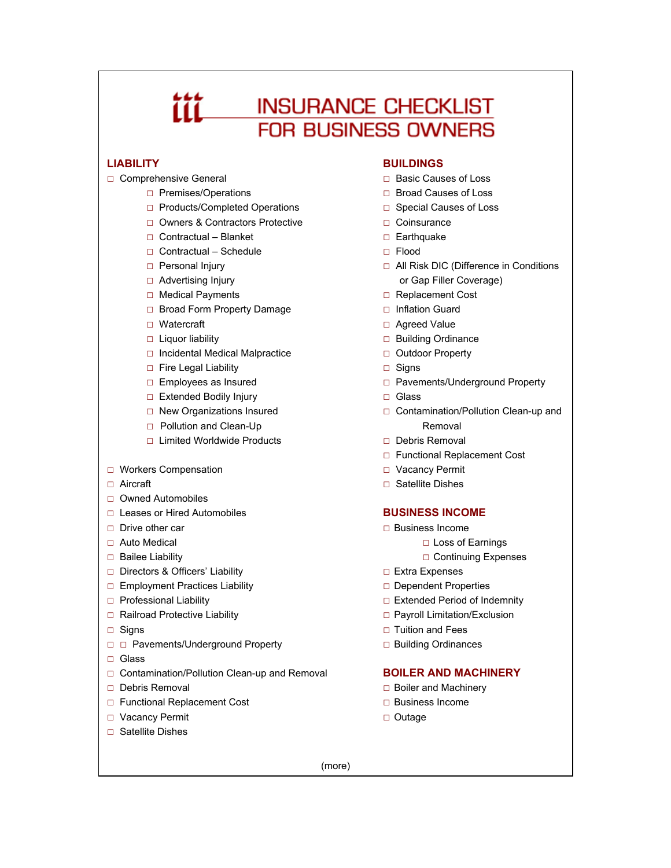# 666 **INSURANCE CHECKLIST FOR BUSINESS OWNERS**

- -
	- □ Products/Completed Operations □ Special Causes of Loss
	- □ Owners & Contractors Protective □ □ Coinsurance
	- □ Contractual Blanket □ □ Earthquake
	- □ Contractual Schedule □ Flood
	-
	-
	-
	- □ Broad Form Property Damage □ Inflation Guard
	-
	-
	- □ Incidental Medical Malpractice □ □ Outdoor Property
	- □ Fire Legal Liability □ Signs
	-
	- □ Extended Bodily Injury □ Glass
	-
	- □ Pollution and Clean-Up Removal
	- □ Limited Worldwide Products □ □ Debris Removal
- □ Workers Compensation □ □ Vacancy Permit
- 
- □ Owned Automobiles
- □ Leases or Hired Automobiles **BUSINESS INCOME**
- 
- 
- 
- □ Directors & Officers' Liability □ □ Extra Expenses
- □ Employment Practices Liability □ Dependent Properties
- 
- □ Railroad Protective Liability <br>□ Payroll Limitation/Exclusion
- 
- □ □ Pavements/Underground Property □ □ Building Ordinances
- □ Glass
- □ Contamination/Pollution Clean-up and Removal **BOILER AND MACHINERY**
- 
- □ Functional Replacement Cost □ Business Income
- □ Vacancy Permit □ Outage
- □ Satellite Dishes

## **LIABILITY BUILDINGS**

- □ Comprehensive General □ □ Basic Causes of Loss
	- □ Premises/Operations □ Broad Causes of Loss
		-
		-
		-
		-
	- □ Personal Injury □ △ All Risk DIC (Difference in Conditions □ Advertising Injury **or Gap Filler Coverage**)
	- □ Medical Payments □ Replacement Cost
		-
	- □ Watercraft □ Agreed Value
	- □ Liquor liability □ Building Ordinance
		-
		-
	- □ Employees as Insured □ Pavements/Underground Property
		-
	- □ New Organizations Insured □ Contamination/Pollution Clean-up and
		-
		- □ Functional Replacement Cost
		-
- □ Aircraft □ Satellite Dishes

- □ Drive other car □ Business Income
- □ Auto Medical □ loss of Earnings
- □ Bailee Liability □ Continuing Expenses
	-
	-
- □ Professional Liability □ □ Extended Period of Indemnity
	-
- □ Signs □ Signs □ Tuition and Fees
	-

- □ Debris Removal □ Boiler and Machinery
	-
	-

(more)